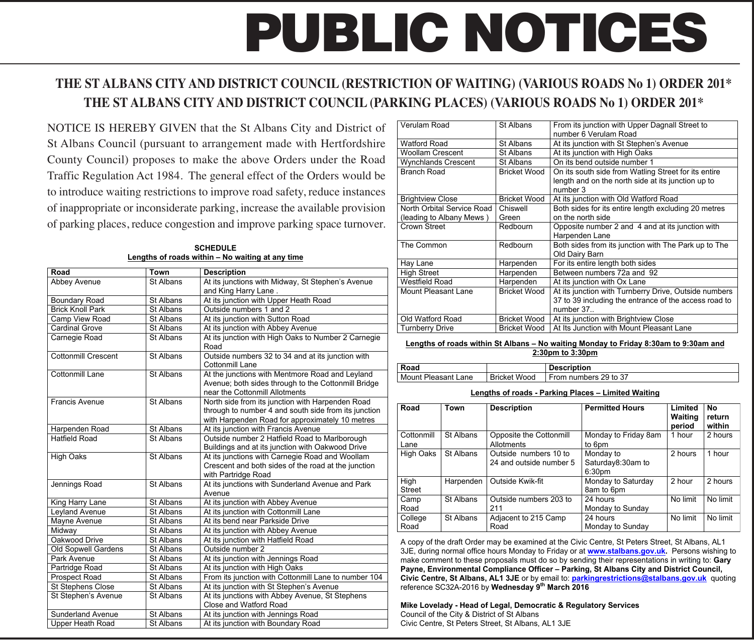# **PUBLIC NOTICES**

# **THE ST ALBANS CITY AND DISTRICT COUNCIL (RESTRICTION OF WAITING) (VARIOUS ROADS No 1) ORDER 201\* THE ST ALBANS CITY AND DISTRICT COUNCIL (PARKING PLACES) (VARIOUS ROADS No 1) ORDER 201\***

 of inappropriate or inconsiderate parking, increase the available provision NOTICE IS HEREBY GIVEN that the St Albans City and District of St Albans Council (pursuant to arrangement made with Hertfordshire County Council) proposes to make the above Orders under the Road Traffic Regulation Act 1984. The general effect of the Orders would be to introduce waiting restrictions to improve road safety, reduce instances of parking places, reduce congestion and improve parking space turnover.

| Road                              | Town             | <b>Description</b>                                                        |  |  |
|-----------------------------------|------------------|---------------------------------------------------------------------------|--|--|
| Abbey Avenue                      | St Albans        | At its junctions with Midway, St Stephen's Avenue                         |  |  |
|                                   |                  | and King Harry Lane.                                                      |  |  |
| <b>Boundary Road</b>              | St Albans        | At its junction with Upper Heath Road                                     |  |  |
| <b>Brick Knoll Park</b>           | <b>St Albans</b> | Outside numbers 1 and 2                                                   |  |  |
| Camp View Road                    | <b>St Albans</b> | At its junction with Sutton Road                                          |  |  |
| <b>Cardinal Grove</b>             | <b>St Albans</b> | At its junction with Abbey Avenue                                         |  |  |
| Carnegie Road                     | <b>St Albans</b> | At its junction with High Oaks to Number 2 Carnegie                       |  |  |
|                                   |                  | Road                                                                      |  |  |
| <b>Cottonmill Crescent</b>        | St Albans        | Outside numbers 32 to 34 and at its junction with                         |  |  |
|                                   |                  | Cottonmill Lane                                                           |  |  |
| Cottonmill Lane                   | St Albans        | At the junctions with Mentmore Road and Leyland                           |  |  |
|                                   |                  | Avenue; both sides through to the Cottonmill Bridge                       |  |  |
|                                   |                  | near the Cottonmill Allotments                                            |  |  |
| <b>Francis Avenue</b>             | St Albans        | North side from its junction with Harpenden Road                          |  |  |
|                                   |                  | through to number 4 and south side from its junction                      |  |  |
|                                   |                  | with Harpenden Road for approximately 10 metres                           |  |  |
| Harpenden Road                    | St Albans        | At its junction with Francis Avenue                                       |  |  |
| <b>Hatfield Road</b>              | St Albans        | Outside number 2 Hatfield Road to Marlborough                             |  |  |
|                                   |                  | Buildings and at its junction with Oakwood Drive                          |  |  |
| <b>High Oaks</b>                  | St Albans        | At its junctions with Carnegie Road and Woollam                           |  |  |
|                                   |                  | Crescent and both sides of the road at the junction                       |  |  |
|                                   |                  | with Partridge Road                                                       |  |  |
| Jennings Road                     | St Albans        | At its junctions with Sunderland Avenue and Park                          |  |  |
|                                   | <b>St Albans</b> | Avenue                                                                    |  |  |
| King Harry Lane<br>Leyland Avenue | St Albans        | At its junction with Abbey Avenue<br>At its junction with Cottonmill Lane |  |  |
| Mayne Avenue                      | <b>St Albans</b> | At its bend near Parkside Drive                                           |  |  |
| Midway                            | St Albans        | At its junction with Abbey Avenue                                         |  |  |
| Oakwood Drive                     | St Albans        | At its junction with Hatfield Road                                        |  |  |
| Old Sopwell Gardens               | St Albans        | Outside number 2                                                          |  |  |
| Park Avenue                       | St Albans        | At its junction with Jennings Road                                        |  |  |
| Partridge Road                    | St Albans        | At its junction with High Oaks                                            |  |  |
| Prospect Road                     | St Albans        | From its junction with Cottonmill Lane to number 104                      |  |  |
| <b>St Stephens Close</b>          | St Albans        | At its junction with St Stephen's Avenue                                  |  |  |
|                                   | St Albans        |                                                                           |  |  |
| St Stephen's Avenue               |                  | At its junctions with Abbey Avenue, St Stephens<br>Close and Watford Road |  |  |
| <b>Sunderland Avenue</b>          | St Albans        | At its junction with Jennings Road                                        |  |  |
| Upper Heath Road                  | St Albans        | At its junction with Boundary Road                                        |  |  |
|                                   |                  |                                                                           |  |  |

**SCHEDULE Lengths of roads within – No waiting at any time** 

| Verulam Road               | St Albans           | From its junction with Upper Dagnall Street to<br>number 6 Verulam Road |  |
|----------------------------|---------------------|-------------------------------------------------------------------------|--|
| Watford Road               | St Albans           | At its junction with St Stephen's Avenue                                |  |
| Woollam Crescent           | St Albans           | At its junction with High Oaks                                          |  |
| <b>Wynchlands Crescent</b> | St Albans           | On its bend outside number 1                                            |  |
| Branch Road                | <b>Bricket Wood</b> | On its south side from Watling Street for its entire                    |  |
|                            |                     | length and on the north side at its junction up to                      |  |
|                            |                     | number 3                                                                |  |
| <b>Brightview Close</b>    | <b>Bricket Wood</b> | At its junction with Old Watford Road                                   |  |
| North Orbital Service Road | Chiswell            | Both sides for its entire length excluding 20 metres                    |  |
| (leading to Albany Mews)   | Green               | on the north side                                                       |  |
| Crown Street               | Redbourn            | Opposite number 2 and 4 and at its junction with                        |  |
|                            |                     | Harpenden Lane                                                          |  |
| The Common                 | Redbourn            | Both sides from its junction with The Park up to The                    |  |
|                            |                     | Old Dairy Barn                                                          |  |
| Hay Lane                   | Harpenden           | For its entire length both sides                                        |  |
| <b>High Street</b>         | Harpenden           | Between numbers 72a and 92                                              |  |
| Westfield Road             | Harpenden           | At its junction with Ox Lane                                            |  |
| Mount Pleasant Lane        | <b>Bricket Wood</b> | At its junction with Turnberry Drive, Outside numbers                   |  |
|                            |                     | 37 to 39 including the entrance of the access road to                   |  |
|                            |                     | number 37.                                                              |  |
| Old Watford Road           | <b>Bricket Wood</b> | At its junction with Brightview Close                                   |  |
| <b>Turnberry Drive</b>     | <b>Bricket Wood</b> | At Its Junction with Mount Pleasant Lane                                |  |

**Lengths of roads within St Albans – No waiting Monday to Friday 8:30am to 9:30am and 2:30pm to 3:30pm** 

#### Road Description Mount Pleasant Lane Bricket Wood From numbers 29 to 37

#### **Lengths of roads - Parking Places – Limited Waiting**

| Road                  | Town      | <b>Description</b>                               | <b>Permitted Hours</b>                               | Limited<br>Waiting<br>period | No<br>return<br>within |
|-----------------------|-----------|--------------------------------------------------|------------------------------------------------------|------------------------------|------------------------|
| Cottonmill<br>Lane    | St Albans | Opposite the Cottonmill<br>Allotments            | Monday to Friday 8am<br>to 6pm                       | 1 hour                       | 2 hours                |
| High Oaks             | St Albans | Outside numbers 10 to<br>24 and outside number 5 | Monday to<br>Saturday8:30am to<br>6:30 <sub>pm</sub> | 2 hours                      | 1 hour                 |
| High<br><b>Street</b> | Harpenden | Outside Kwik-fit                                 | Monday to Saturday<br>8am to 6pm                     | 2 hour                       | 2 hours                |
| Camp<br>Road          | St Albans | Outside numbers 203 to<br>211                    | 24 hours<br>Monday to Sunday                         | No limit                     | No limit               |
| College<br>Road       | St Albans | Adjacent to 215 Camp<br>Road                     | 24 hours<br>Monday to Sunday                         | No limit                     | No limit               |

A copy of the draft Order may be examined at the Civic Centre, St Peters Street, St Albans, AL1 3JE, during normal office hours Monday to Friday or at **www.stalbans.gov.uk.** Persons wishing to make comment to these proposals must do so by sending their representations in writing to: **Gary Payne, Environmental Compliance Officer – Parking, St Albans City and District Council, Civic Centre, St Albans, AL1 3JE** or by email to: **parkingrestrictions@stalbans.gov.uk** quoting reference SC32A-2016 by **Wednesday 9th March 2016** 

**Mike Lovelady - Head of Legal, Democratic & Regulatory Services**  Council of the City & District of St Albans Civic Centre, St Peters Street, St Albans, AL1 3JE